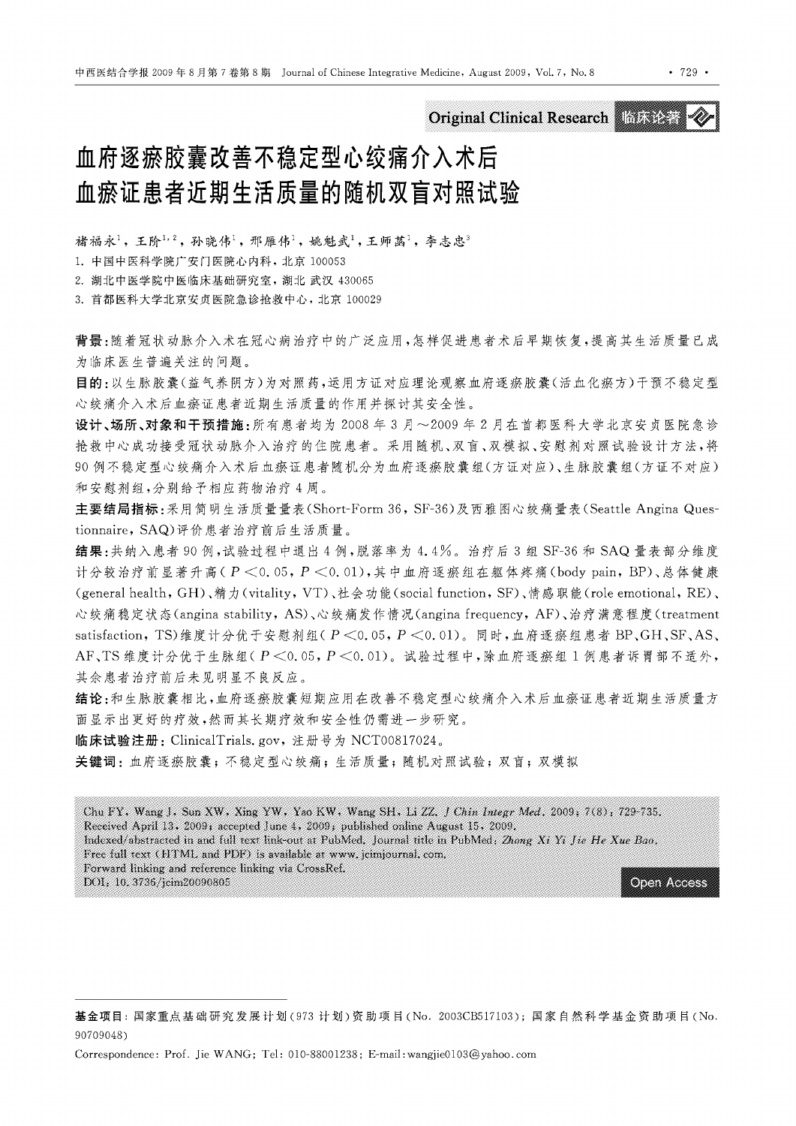Original Clinical Research NO LOR ACT

# 血府逐瘀胶囊改善不稳定型心绞痛介入术后 血痕证患者近期生活质量的随机双盲对照试验

褚福永<sup>1</sup>,王阶1,2,孙晓伟1, 邢雁伟1,姚魁武1,王师菡1,李志忠3

1.中国中医科学院广安门医院心内科,北京 <sup>100053</sup>

2. 湖北中医学院中医临床基础研究室,湖北武汉 <sup>430065</sup>

3. 首都医科大学北京安贞医院急诊抢救中心,北京 <sup>100029</sup>

背景:随着冠状动脉介入术在冠心病治疗中的广泛应用,怎样促进患者术后早期恢复,提高其生活质量已成 为临床医生普遍关注的问题。

目的:以生脉胶囊(益气养阴方)为对照药,运用方证对应理论观察血府逐痕胶囊(活血化痕方)干预不稳定型 心绞痛介入术后血痕证患者近期生活质量的作用并探讨其安全性。

设计、场所、对象和干预措施: 所有患者均为 2008 年 3 月~2009 年 2 月在首都医科大学北京安贞医院急诊 抢救中心成功接受冠状动脉介入治疗的住院患者。采用随机、双盲、双模拟、安慰剂对照试验设计方法,将 90 例不稳定型心绞痛介入术后血瘀证患者随机分为血府逐瘀胶囊组(方证对应)、生脉胶囊组(方证不对应) 和安慰剂组,分别给予相应药物治疗4周。

主要结局指标:采用简明生活质量量表 (Short-Form 36 , SF-36) 及西雅图心绞痛量表 (Seattle Angina Questionnaire , SAQ) 评价患者治疗前后生活质量。

结果:共纳入患者 90 例,试验过程中退出 4 例,脱落率为 4.4%。治疗后 3 组 SF-36 和 SAQ 量表部分维度 计分较治疗前显著升高(P < 0.05, P < 0.01),其中血府逐瘀组在躯体疼痛(body pain, BP)、总体健康 (general health, GH)、精力(vitality, VT)、社会功能(social function, SF)、情感职能(role emotional, RE)、 心绞痛稳定状态 (angina stability , AS) 、心绞痛发作情况 (angina frequency , AF) 、治疗满意程度( treatment satisfaction, TS)维度计分优于安慰剂组(P <0.05, P <0.01)。同时,血府逐瘀组患者 BP、GH、SF、AS、 AF、TS 维度计分优于生脉组( $P < 0.05$ ,  $P < 0.01$ )。试验过程中,除血府逐瘀组 1 例患者诉胃部不适外, 其余患者治疗前后未见明显不良反应。

结论:和生脉胶囊相比,血府逐痕胶囊短期应用在改善不稳定型心绞痛介入术后血痕证患者近期生活质量方 面显示出更好的疗效,然而其长期疗效和安全性仍需进一步研究。

临床试验注册: ClinicalTrials. gov, 注册号为 NCT00817024。

关键词: 血府逐瘀胶囊;不稳定型心绞痛; 生活质量; 随机对照试验; 双盲; 双模拟

Chu FY, Wang J, Sun XW, Xing YW, Yao KW, Wang SH, Li ZZ, J Chin Integr Med. 2009, 7(8): 729-735. Received April 13, 2009; accepted June 4, 2009; published online August 15, 2009. Indexed/abstracted in and full text link-out at PubMed. Journal title in PubMed: Zhong Xi Yi Jie He Xue Bao. Free full text (HTML and PDF) is available at www.jcimjournal.com. Forward linking and reference linking via CrossRef. DOI: 10.3736/jcim20090805 **Open Access** 

基金项目:国家重点基础研究发展计划(973 计划)资助项目(No. 2003CB517103); 国家自然科学基金资助项目(No. 90709048)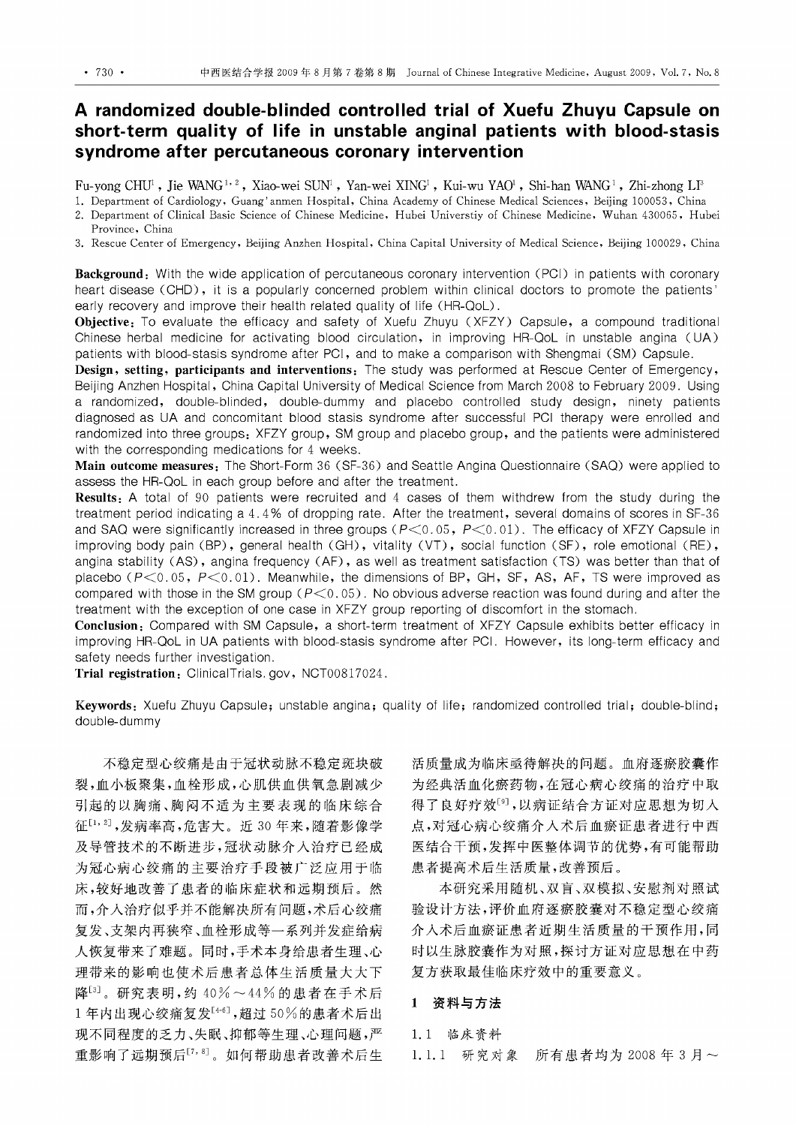# A randomized double-blinded controlled trial of Xuefu Zhuyu Capsule on short-term quality of life in unstable anginal patients with blood-stasis syndrome after percutaneous coronary intervention

Fu-yong CHU<sup>1</sup> , Jie WANG <sup>1, 2</sup> , Xiao-wei SUN<sup>1</sup> , Yan-wei XING <sup>1</sup> , Kui-wu YAO , Shi-han WANG <sup>1</sup> , Zhi-zhong Ll<sup>s</sup>

- 1. Department of Cardiology, Guang' anmen Hospital, China Academy of Chinese Medical Sciences , Beijing 100053 , China
- 2. Department of Clinical Basic Science of Chinese Medicine, Hubei Universtiy of Chinese Medicine, Wuhan 430065, Hubei Province, China
- 3. Rescue Center of Emergency , Beijing Anzhen Hospital, China Capital University of Medical Science , Beijing 100029 , China

Background: With the wide application of percutaneous coronary intervention (PCI) in patients with coronary heart disease (CHD), it is a popularly concerned problem within clinical doctors to promote the patients' early recovery and improve their health related quality of life (HR-OoL).

Objective: To evaluate the efficacy and safety of Xuefu Zhuyu (XFZY) Capsule, a compound traditional Chinese herbal medicine for activating blood circulation, in improving HR-QoL in unstable angina (UA) patients with blood-stasis syndrome after PCI , and to make a comparison with Shengmai (SM) Capsule.

Design, setting, participants and interventions: The study was performed at Rescue Center of Emergency, Beijing Anzhen Hospital, China Capital University of Medical Science from March 2008 to February 2009. Using a randomized, double-blinded, double-dummy and placebo controlled study design, ninety patients diagnosed as UA and concomitant blood stasis syndrome after successful PCI therapy were enrolled and randomized into three groups: XFZY group, SM group and placebo group, and the patients were administered with the corresponding medications for 4 weeks.

Main outcome measures: The Short-Form 36 (SF-36) and Seattle Angina Questionnaire (SAQ) were applied to assess the HR-OoL in each group before and after the treatment.

Results: A total of 90 patients were recruited and 4 cases of them withdrew from the study during the treatment period indicating a 4.4% of dropping rate. After the treatment, several domains of scores in SF-36 and SAQ were significantly increased in three groups  $(P<0.05, P<0.01)$ . The efficacy of XFZY Capsule in improving body pain (BP), general health (GH), vitality (VT), social function (SF), role emotional (RE), angina stability (AS) , angina frequency (AF) , as well as treatment satisfaction (TS) was better than that of placebo (P<0.05, P<0.01). Meanwhile, the dimensions of BP, GH, SF, AS, AF, TS were improved as compared with those in the SM group *(P<O.* 05). No obvious adverse reaction was found during and after the treatment with the exception of one case in XFZY group reporting of discomfort in the stomach.

Conclusion: Compared with SM Capsule, a short-term treatment of XFZY Capsule exhibits better efficacy in improving HR-OoL in UA patients with blood-stasis syndrome after PCI. However, its long-term efficacy and safety needs further investigation.

Trial registration: ClinicalTrials.gov, NCT00817024.

Keywords: Xuefu Zhuyu Capsule; unstable angina; quality of life; randomized controlled trial; double-blind; double-dummy

不稳定型心绞痛是由于冠状动脉不稳定斑块破 裂,血小板聚集,血栓形成,心肌供血供氧急剧减少 引起的以胸痛、胸闷不适为主要表现的临床综合 征[1,2],发病率高,危害大。近 30年来,随着影像学 及导管技术的不断进步,冠状动脉介入治疗已经成 为冠心病心绞痛的主要治疗手段被广泛应用于临 床,较好地改善了患者的临床症状和远期预后。然 而,介入治疗似乎并不能解决所有问题,术后心绞痛 复发、支架内再狭窄、血栓形成等一系列并发症给病 人恢复带来了难题。同时,手术本身给患者生理、心 理带来的影响也使术后患者总体生活质量大大下 降[3]。研究表明,约 40%~44%的患者在手术后 1年内出现心绞痛复发[46],超过50%的患者术后出 现不同程度的乏力、失眠、抑郁等生理、心理问题,严 重影响了远期预后[7,8]。如何帮助患者改善术后生

活质量成为临床亟待解决的问题。血府逐燎胶囊作 为经典活血化癫药物,在冠心病心绞痛的治疗中取 得了良好疗效<sup>[9]</sup>,以病证结合方证对应思想为切入 点,对冠心病心绞痛介入术后血瘀证患者进行中西 医结合干预,发挥中医整体调节的优势,有可能帮助 患者提高术后生活质量,改善预后。

本研究采用随机、双盲、双模拟、安慰剂对照试 验设计方法,评价血府逐痕胶囊对不稳定型心绞痛 介入术后血痕证患者近期生活质量的干预作用,同 时以生脉胶囊作为对照,探讨方证对应思想在中药 复方获取最佳临床疗效中的重要意义。

## 1 资料与方法

1. 1 临床资料 1. 1. 1 研究对象 所有患者均为 <sup>2008</sup> 月~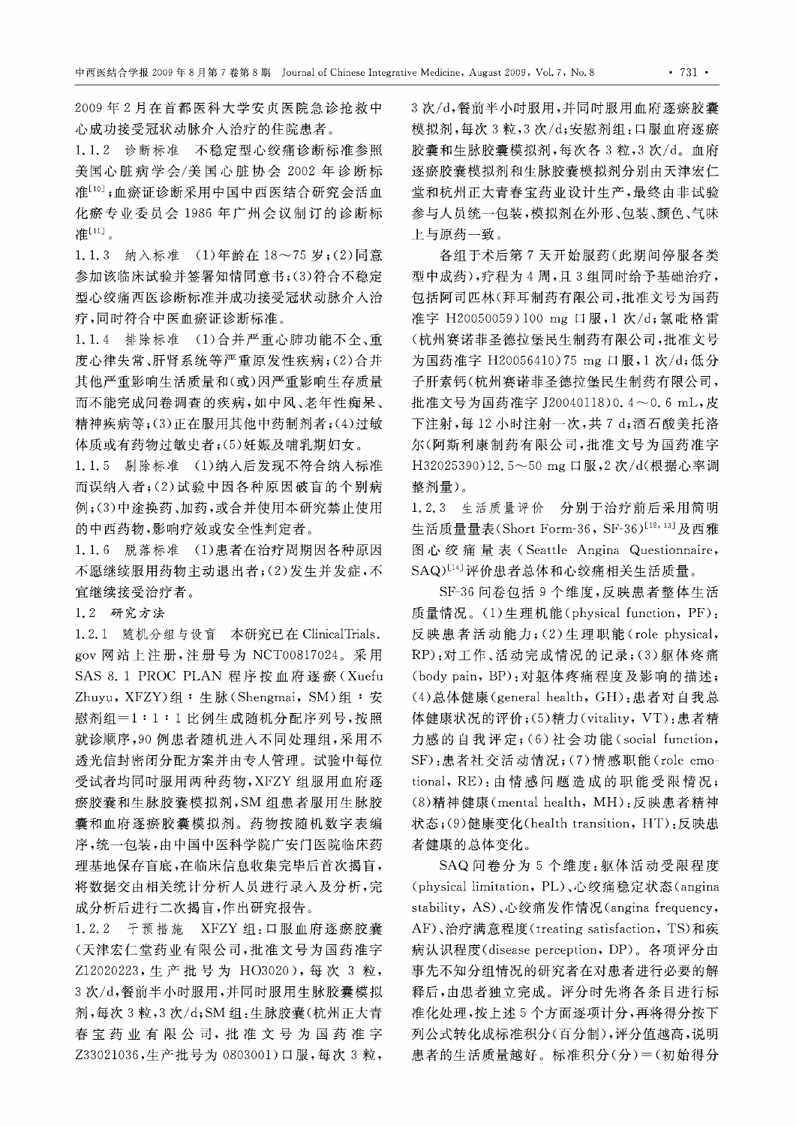2009年2月在首都医科大学安贞医院急诊抢救中 心成功接受冠状动脉介入治疗的住院患者。

1. 1. 2 诊断标准 不稳定型心绞痛诊断标准参照 美国心脏病学会/美国心脏协会 <sup>2002</sup> 年诊断标 准[10];血瘀证诊断采用中国中西医结合研究会活血 化癫专业委员会 <sup>1986</sup> 年广州会议制订的诊断标 准[11]。

1. 1. 3 纳入标准 (1)年龄在 18~75 岁;(2)同意 参加该临床试验并签署知情同意书;(3) 符合不稳定 型心绞痛西医诊断标准并成功接受冠状动脉介入治 疗,同时符合中医血痕证诊断标准。

1. 1. 4 排除标准 (1)合并严重心肺功能不全、重 度心律失常、肝肾系统等严重原发性疾病;(2)合并 其他严重影响生活质量和(或)因严重影响生存质量 而不能完成问卷调查的疾病,如中风、老年性痴呆、 精神疾病等 ;(3) 正在服用其他中药制剂者 ;(4) 过敏 体质或有药物过敏史者;(5)妊娠及哺乳期妇女。

1. 1. 5 剔除标准 (1)纳入后发现不符合纳入标准 而误纳入者 ;(2) 试验中因各种原因破盲的个别病 例;(3)中途换药、加药,或合并使用本研究禁止使用 的中西药物,影响疗效或安全性判定者。

1. 1. 6 脱落标准 (1)患者在治疗周期因各种原因 不愿继续服用药物主动退出者 ;(2) 发生并发症,不 宜继续接受治疗者。

1. 2 研究方法

1. 2. 1 随机分组与设盲 本研究已在 ClinicalTrials. gov 网站上注册,注册号为 NCT00817024。采用 SAS 8. 1 PROC PLAN 程序按血府逐痕(Xuefu Zhuyu, XFZY) 组: 生脉( Shengmai, SM) 组: 安 慰剂组 =1 : 1 : 比例生成随机分配序列号,按照 就诊顺序, <sup>90</sup> 例患者随机进入不同处理组,采用不 透光信封密闭分配方案并由专人管理。试验中每位 受试者均同时服用两种药物, XFZY 组服用血府逐 癫胶囊和生脉胶囊模拟剂, SM 组患者服用生脉胶 囊和血府逐痕胶囊模拟剂。药物按随机数字表编 序,统一包装,由中国中医科学院广安门医院临床药 理基地保存盲底,在临床信息收集完毕后首次揭盲, 将数据交由相关统计分析人员进行录入及分析,完 成分析后进行二次揭盲,作出研究报告。

1. 2. 2 干预措施 XFZY 组:口服血府逐癫胶囊 (天津宏仁堂药业有限公司,批准文号为国药准宇 Z12020223, 生产批号为 HO3020), 每次 3 粒, 3 次/d,餐前半小时服用,并同时服用生脉胶囊模拟 剂,每次 3粒, 3次/d;SM组:生脉胶囊(杭州正大青 春宝药业有限公司,批准文号为国药准宇 Z33021036,生产批号为 0803001)口服,每次 3粒,

3次/d,餐前半小时服用,并同时服用血府逐瘀胶囊 模拟剂,每次 3粒, 3次/d; 安慰剂组: 口服血府逐瘀 胶囊和生脉胶囊模拟剂,每次各 3 粒, 3 次/d。血府 逐瘀胶囊模拟剂生脉胶囊模拟剂分别由天津宏仁 堂和杭州正大青春宝药业设计生产,最终由非试验 参与人员统一包装,模拟剂在外形、包装、颜色、气味 上与原药一致。

各组于术后第7天开始服药(此期间停服各类 型中成药),疗程为 4 周,且 3 组同时给予基础治疗, 包括阿司匹林(拜耳制药有限公司,批准文号为国药 准字 H20050059) 100 mg 口服, 1 次/d; 氯吡格雷 (杭州赛诺菲圣德拉堡民生制药有限公司,批准文号 为国药准字 H20056410) 75 mg 口服, 1 次/d; 低分 子肝素钙(杭州赛诺菲圣德拉堡民生制药有限公司, 批准文号为国药准字 J20040118)0. 4~0. 6 mL,皮 下注射,每 <sup>12</sup> 小时注射一次,共 d; 酒石酸美托洛 尔(阿斯利康制药有限公司,批准文号为国药准宇 H32025390)12.5~50 mg 口服, 2 次/d(根据心率调 整剂量)。

1. 2. 3 生活质量评价 分别于治疗前后采用简明 生活质量量表(Short Form-36, SF-36)<sup>[12, 13]</sup>及西雅 图心绞痛量表(Seattle Angina Questionnaire, SAQ)[14] 评价患者总体和心绞痛相关生活质量。

SF-36 问卷包括 9 个维度,反映患者整体生活 质量情况。(1)生理机能(physical function, PF): 反映患者活动能力; $(2)$ 生理职能(role physical, RP): 对工作、活动完成情况的记录 ;(3) 躯体疼痛 (body pain, BP): 对躯体疼痛程度及影响的描述;  $(4)$ 总体健康 (general health, GH): 患者对自我总 体健康状况的评价;(5)精力(vitality, VT):患者精 力感的自我评定; $(6)$ 社会功能 (social function, SF) :患者社交活动情况;(7)情感职能(role emo tional, RE): 由情感问题造成的职能受限情况; (8) 精神健康 (mental health , MH): 反映患者精神 状态;(9)健康变化(health transition, HT):反映患 者健康的总体变化。

SAQ 问卷分为 5 个维度:躯体活动受限程度 (physical limitation, PL)、心绞痛稳定状态(angina stability , AS) 、心绞痛发作情况 (angina frequency , AF)、治疗满意程度(treating satisfaction, TS)和疾 病认识程度 (disease perception , DP) 。各项评分由 事先不知分组情况的研究者在对患者进行必要的解 释后,由患者独立完成。评分时先将各条目进行标 准化处理,按上述 个方面逐项计分,再将得分按下 列公式转化成标准积分(百分制) ,评分值越高,说明 患者的生活质量越好。标准积分(分) <sup>=</sup> (初始得分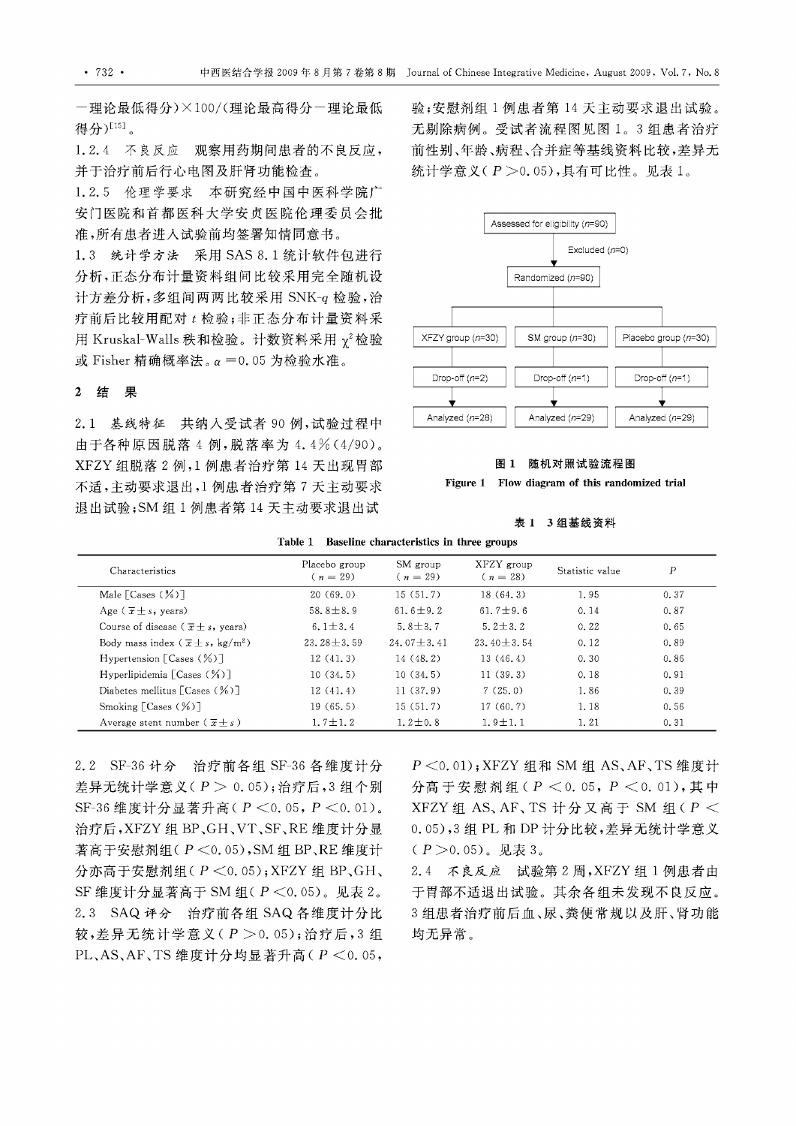一理论最低得分)×100/(理论最高得分一理论最低 得分)<sup>[15]</sup>。

1. 2. 4 不良反应 观察用药期间患者的不良反应, 并于治疗前后行心电图及肝肾功能检查。

1. 2. 5 伦理学要求 本研究经中国中医科学院广 安门医院和首都医科大学安贞医院伦理委员会批 准,所有患者进入试验前均签署知情同意书。

1.3 统计学方法 采用 SAS 8.1 统计软件包进行 分析,正态分布计量资料组间比较采用完全随机设 计方差分析,多组间两两比较采用 SNK-q 检验,治 疗前后比较用配对 检验;非正态分布计量资料采 用 Kruskal-Walls 秩和检验。计数资料采用 γ<sup>2</sup>检验  $x$  Fisher 精确概率法。 $α=0.05$  为检验水准。

#### 结果

2. 1 基线特征共纳入受试者 <sup>90</sup> 例,试验过程中 由于各种原因脱落 例,脱落率为 4.4% (4/90) XFZY 组脱落 2 例, 1 例患者治疗第 14 天出现胃部 不适,主动要求退出,1例患者治疗第7天主动要求 退出试验;SM组1例患者第14天主动要求退出试

验;安慰剂组 1 例患者第 14 天主动要求退出试验。 无剔除病例。受试者流程图见图 1。3 组患者治疗 前性别、年龄、病程、合并症等基线资料比较,差异元 统计学意义 ( $P > 0.05$ ),具有可比性。见表 1。



#### 图 1 随机对照试验流程图

Figure 1 Flow diagram of this randomized trial

#### 表 1 3 组基线资料

|  |  | Table 1 Baseline characteristics in three groups |  |  |  |
|--|--|--------------------------------------------------|--|--|--|
|--|--|--------------------------------------------------|--|--|--|

| Characteristics                                            | Placebo group<br>$(n = 29)$ | SM group<br>$(n = 29)$ | XFZY group<br>$(n = 28)$ | Statistic value | $\boldsymbol{P}$ |
|------------------------------------------------------------|-----------------------------|------------------------|--------------------------|-----------------|------------------|
| Male $\lceil \text{Cases} (\frac{1}{2}) \rceil$            | 20(69.0)                    | 15(51,7)               | 18(64,3)                 | 1.95            | 0.37             |
| Age ( $\overline{x} \pm s$ , years)                        | 58.8 $\pm$ 8.9              | $61.6 + 9.2$           | $61.7 + 9.6$             | 0.14            | 0.87             |
| Course of disease ( $\overline{x} \pm s$ , years)          | 6.1 $+3.4$                  | $5.8 + 3.7$            | $5.2 + 3.2$              | 0.22            | 0.65             |
| Body mass index $(\overline{x} \pm s, \text{ kg/m}^2)$     | $23.28 + 3.59$              | $24.07 + 3.41$         | $23.40 + 3.54$           | 0.12            | 0.89             |
| Hypertension $\lceil \text{Cases } (\frac{\pi}{2}) \rceil$ | 12(41,3)                    | 14(48, 2)              | 13(46, 4)                | 0.30            | 0.86             |
| Hyperlipidemia $\lceil \text{Cases} (\frac{9}{6}) \rceil$  | 10(34.5)                    | 10(34.5)               | 11(39,3)                 | 0.18            | 0.91             |
| Diabetes mellitus $\lceil \text{Cases} (\%) \rceil$        | 12(41, 4)                   | 11(37, 9)              | 7(25,0)                  | 1.86            | 0.39             |
| Smoking $\lceil \text{Cases} (\frac{1}{2}) \rceil$         | 19(65,5)                    | 15(51,7)               | 17(60, 7)                | 1.18            | 0.56             |
| Average stent number $(\overline{x} + s)$                  | $1.7 \pm 1.2$               | $1.2 \pm 0.8$          | $1.9 \pm 1.1$            | 1.21            | 0.31             |

2.2 SF-36 计分 治疗前各组 SF-36 各维度计分 差异无统计学意义(P > 0.05); 治疗后, 3 组个别 SF-36 维度计分显著升高( $P < 0.05$ ,  $P < 0.01$ )。 治疗后, XFZY 组 BP、GH、VT、SF、RE 维度计分显 著高于安慰剂组 $(P \leq 0.05)$ , SM 组 BP、RE 维度计 分亦高于安慰剂组 $(P \lt 0.05)$ ; XFZY 组 BP、GH、 SF 维度计分显著高于 SM 组( $P < 0.05$ )。见表  $2$ 。 2.3 SAQ 评分 治疗前各组 SAQ 各维度计分比 较,差异无统计学意义(P > 0.05); 治疗后, 3 组 PL、AS、AF、TS 维度计分均显著升高( $P < 0.05$ ,

*P* < 0.01); XFZY 组和 SM 组 AS, AF, TS 维度计 分高于安慰剂组(P <0.05, P <0.01), 其中 XFZY 组 AS、AF、TS 计分又高于 SM 组(P < 0.05), 3 组 PL 和 DP 计分比较, 差异无统计学意义 (P > 0.05)。见表 3。

2.4 不良反应 试验第 2 周, XFZY 组 1 例患者由 于胃部不适退出试验。其余各组未发现不良反应。 组患者治疗前后血、尿、粪便常规以及肝、肾功能 均无异常。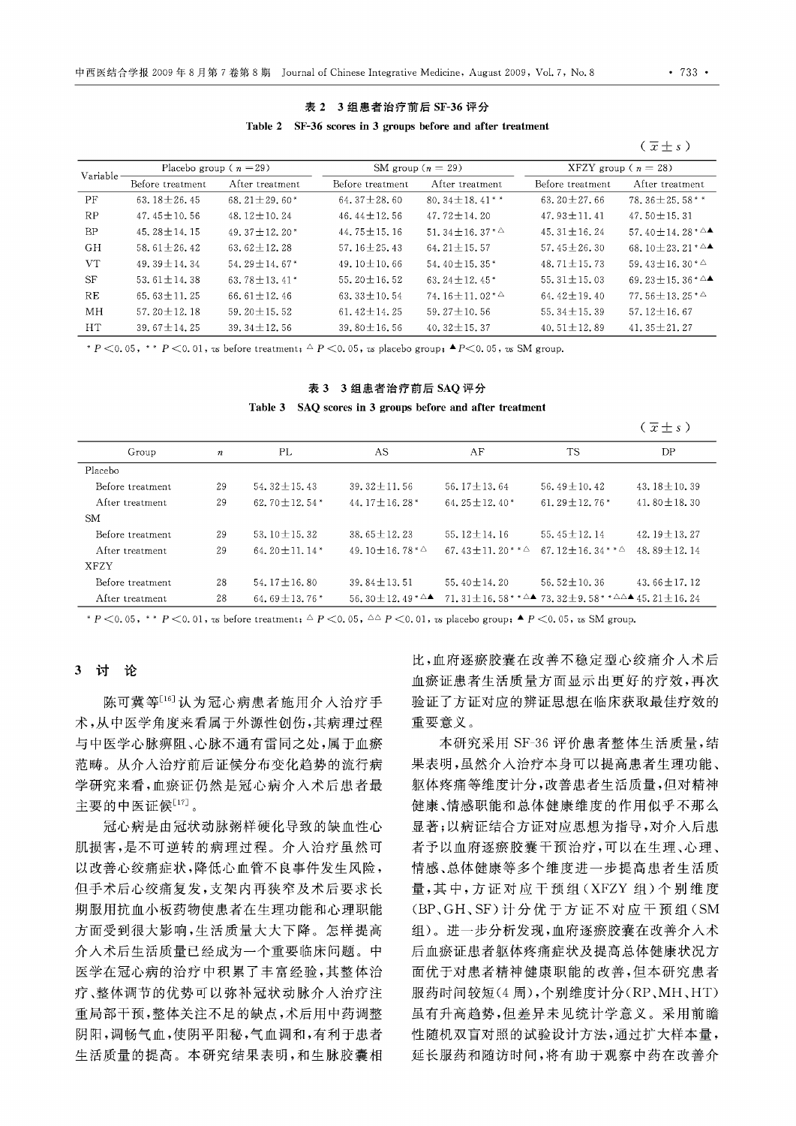## 表 2 3 组患者治疗前后 SF-36 评分 Table 2 SF-36 scores in 3 groups before and after treatment

 $(\overline{x} \pm s)$ 

| Variable - | Placebo group ( $n = 29$ ) |                                |                   | SM group $(n = 29)$            | XFZY group ( $n = 28$ ) |                                                    |  |
|------------|----------------------------|--------------------------------|-------------------|--------------------------------|-------------------------|----------------------------------------------------|--|
|            | Before treatment           | After treatment                | Before treatment  | After treatment                | Before treatment        | After treatment                                    |  |
| <b>PF</b>  | 63.18 $\pm$ 26.45          | $68.21 + 29.60*$               | $64.37 \pm 28.60$ | 80, $34 + 18$ , $41**$         | $63.20 \pm 27.66$       | 78.36 $\pm$ 25.58**                                |  |
| RP         | $47.45 + 10.56$            | $48.12 + 10.24$                | $46.44 + 12.56$   | 47.72 $\pm$ 14.20              | $47.93 + 11.41$         | 47.50 $\pm$ 15.31                                  |  |
| <b>BP</b>  | 45.28 $\pm$ 14.15          | 49.37 $\pm$ 12.20 <sup>*</sup> | 44.75 $\pm$ 15.16 | 51, $34 + 16$ , $37 * 4$       | $45.31 + 16.24$         | 57.40 $\pm$ 14.28 $*$ $\triangle$ $\blacktriangle$ |  |
| GH         | $58.61 + 26.42$            | $63.62 + 12.28$                | $57.16 + 25.43$   | $64.21 + 15.57$                | $57.45 + 26.30$         | 68.10 $\pm$ 23.21 $*$ $\triangle$                  |  |
| <b>VT</b>  | $49.39 + 14.34$            | $54.29 + 14.67*$               | $49.10 + 10.66$   | $54.40 + 15.35*$               | $48.71 + 15.73$         | 59.43 $\pm$ 16.30* $\triangle$                     |  |
| <b>SF</b>  | 53.61 $\pm$ 14.38          | $63.78 + 13.41*$               | $55.20 \pm 16.52$ | 63.24 $\pm$ 12.45 <sup>*</sup> | 55.31 $\pm$ 15.03       | 69.23 $\pm$ 15.36 $*$ $\triangle$ $\blacktriangle$ |  |
| RE         | 65.63 $\pm$ 11.25          | 66.61 $\pm$ 12.46              | 63.33 $\pm$ 10.54 | $74.16 \pm 11.02 \times 4$     | 64.42 $\pm$ 19.40       | $77.56 \pm 13.25 \times 4$                         |  |
| MH         | $57.20 + 12.18$            | $59.20 + 15.52$                | 61.42 $\pm$ 14.25 | $59.27 + 10.56$                | 55, $34 \pm 15$ , 39    | $57.12 + 16.67$                                    |  |
| <b>HT</b>  | $39.67 \pm 14.25$          | $39.34 \pm 12.56$              | $39.80 \pm 16.56$ | 40.32 $\pm$ 15.37              | 40.51 $\pm$ 12.89       | 41.35 $\pm$ 21.27                                  |  |

 $P < 0.05$ ,  $*$   $*$   $P < 0.01$ , *vs* before treatment;  $\triangle P < 0.05$ , *vs* placebo group;  $\triangle P < 0.05$ , *vs* SM group.

#### 表 3 3 组患者治疗前后 SAQ 评分

Table 3 SAQ scores in 3 groups before and after treatment

|                   |                  |                       |                                                    |                                |                                                                                               | $(\overline{x} \pm s)$ |
|-------------------|------------------|-----------------------|----------------------------------------------------|--------------------------------|-----------------------------------------------------------------------------------------------|------------------------|
| Group             | $\boldsymbol{n}$ | PL                    | AS                                                 | AF                             | <b>TS</b>                                                                                     | DP                     |
| Placebo           |                  |                       |                                                    |                                |                                                                                               |                        |
| Before treatment  | 29               | $54.32 \pm 15.43$     | $39.32 \pm 11.56$                                  | 56, $17 + 13$ , 64             | $56.49 \pm 10.42$                                                                             | 43.18 $\pm$ 10.39      |
| After treatment   | 29               | 62.70 $\pm$ 12.54 $*$ | 44.17 $\pm$ 16.28 <sup>*</sup>                     | 64.25 $\pm$ 12.40 <sup>*</sup> | 61.29 $\pm$ 12.76 $*$                                                                         | $41.80 + 18.30$        |
| <b>SM</b>         |                  |                       |                                                    |                                |                                                                                               |                        |
| Before treatment. | 29               | $53.10 + 15.32$       | $38.65 + 12.23$                                    | $55.12 \pm 14.16$              | 55.45 $\pm$ 12.14                                                                             | $42.19 + 13.27$        |
| After treatment   | 29               | 64.20 $+$ 11.14 $*$   | 49.10 + 16.78 $*$ $\triangle$                      | 67.43 $+$ 11.20** $\triangle$  | 67.12 $\pm$ 16.34** $\triangle$                                                               | $48.89 + 12.14$        |
| <b>XFZY</b>       |                  |                       |                                                    |                                |                                                                                               |                        |
| Before treatment  | 28               | 54, $17 \pm 16$ , 80  | 39.84 $\pm$ 13.51                                  | 55.40 $\pm$ 14.20              | 56.52 $\pm$ 10.36                                                                             | 43.66 $\pm$ 17.12      |
| After treatment   | 28               | 64.69 $\pm$ 13.76 $*$ | 56.30 $\pm$ 12.49 $*$ $\triangle$ $\blacktriangle$ |                                | 71, 31 + 16, 58* $*^{\triangle}$ 73, 32 + 9, 58* $*^{\triangle}\triangle$ 45, 21 $\pm$ 16, 24 |                        |

 $P < 0.05$ ,  $*$   $P < 0.01$ , *vs* before treatment;  $\Delta P < 0.05$ ,  $\Delta \Delta P < 0.01$ , *vs* placebo group;  $\blacktriangle P < 0.05$ , *vs* SM group.

## 3 讨论

陈可冀等[16] 认为冠心病患者施用介入治疗手 术,从中医学角度来看属于外源性创伤,其病理过程 与中医学心脉痹阻、心脉不通有雷同之处,属于血癫 范畴。从介入治疗前后证候分布变化趋势的流行病 学研究来看,血痕证仍然是冠心病介入术后患者最 主要的中医证候[17]。

冠心病是由冠状动脉粥样硬化导致的缺血性心 肌损害,是不可逆转的病理过程。介入治疗虽然可 以改善心绞痛症状,降低心血管不良事件发生风险, 但于术后心绞痛复发,支架内再狭窄及术后要求长 期服用抗血小板药物使患者在生理功能和心理职能 方面受到很大影响,生活质量大大下降。怎样提高 介入术后生活质量已经成为一个重要临床问题。中 医学在冠心病的治疗中积累了丰富经验,其整体治 疗、整体调节的优势可以弥补冠状动脉介入治疗注 重局部干预,整体关注不足的缺点,术后用中药调整 阴阳,调畅气血,使阴平阳秘,气血调和,有利于患者 生活质量的提高。本研究结果表明,和生脉胶囊相

比,血府逐痕胶囊在改善不稳定型心绞痛介入术后 血癫证患者生活质量方面显示出更好的疗效,再次 验证了方证对应的辨证思想在临床获取最佳疗效的 重要意义。

本研究采用 SF-36 评价患者整体生活质量,结 果表明,虽然介入治疗本身可以提高患者生理功能、 躯体疼痛等维度计分,改善患者生活质量,但对精神 健康、情感职能和总体健康维度的作用似乎不那么 显著;以病证结合方证对应思想为指导,对介入后患 者予以血府逐癫胶囊干预治疗,可以在生理、心理、 情感、总体健康等多个维度进一步提高患者生活质 量,其中,方证对应干预组(XFZY 组)个别维度 (BP GH SF) 计分优于方证不对应干预组(SM 组)。进一步分析发现,血府逐癫胶囊在改善介入术 后血瘀证患者躯体疼痛症状及提高总体健康状况方 面优于对患者精神健康职能的改善,但本研究患者 服药时间较短(4周),个别维度计分(RP、MH、HT) 虽有升高趋势,但差异未见统计学意义。采用前瞻 性随机双盲对照的试验设计方法,通过扩大样本量, 延长服药和随访时间,将有助于观察中药在改善介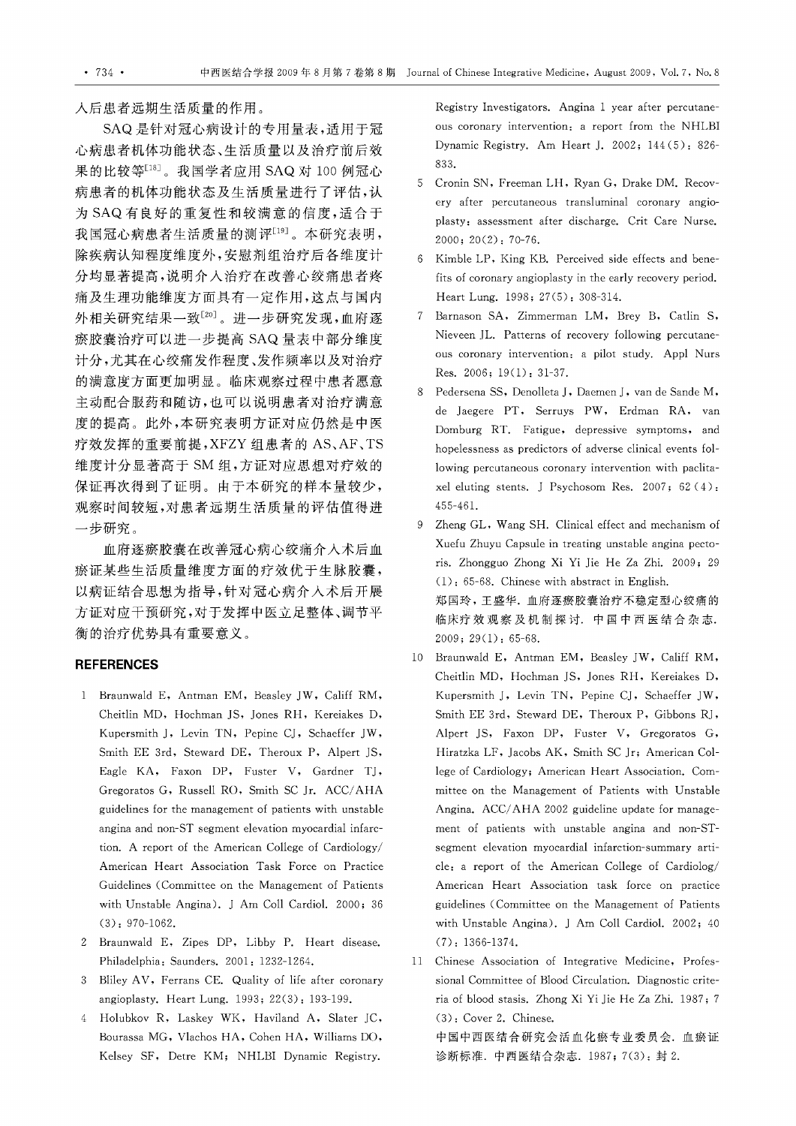人后患者远期生活质量的作用。

SAQ 是针对冠心病设计的专用量表,适用于冠 心病患者机体功能状态、生活质量以及治疗前后效 果的比较等[18]。我国学者应用 SAQ 对 100 例冠心 病患者的机体功能状态及生活质量进行了评估,认 SAQ 有良好的重复性和较满意的信度,适合于 我国冠心病患者生活质量的测评[19] 。本研究表明, 除疾病认知程度维度外,安慰剂组治疗后各维度计 分均显著提高,说明介入治疗在改善心绞痛患者疼 痛及生理功能维度方面具有一定作用,这点与国内 外相关研究结果一致[20]。进一步研究发现,血府逐 癫胶囊治疗可以进一步提高SAQ 量表中部分维度 计分,尤其在心绞痛发作程度、发作频率以及对治疗 的满意度方面更加明显。临床观察过程中患者愿意 主动配合服药和随访,也可以说明患者对治疗满意 度的提高。此外,本研究表明方证对应仍然是中医 疗效发挥的重要前提,XFZY 组患者的 AS、AF、TS 维度计分显著高于 SM 组,方证对应思想对疗效的 保证再次得到了证明。由于本研究的样本量较少, 观察时间较短,对患者远期生活质量的评估值得进 一步研究。

血府逐痕胶囊在改善冠心病心绞痛介入术后血 痕证某些生活质量维度方面的疗效优于生脉胶囊, 以病证结合思想为指导,针对冠心病介入术后开展 方证对应干预研究,对于发挥中医立足整体、调节平 衡的治疗优势具有重要意义。

### REFERENCES

- 1 Braunwald E, Antman EM, Beasley JW, Califf RM, Cheitlin MD. Hochman JS. Jones RH. Kereiakes D. Kupersmith J, Levin TN, Pepine CJ, Schaeffer JW, Smith EE 3rd. Steward DE. Theroux P. Alpert JS. Eagle KA. Faxon DP. Fuster V. Gardner TJ. Gregoratos G. Russell RO. Smith SC Jr. ACC/AHA guidelines for the management of patients with unstable angina and non-ST segment elevation myocardial infarc tion. A report of the American College of Cardiology/ American Heart Association Task Force on Practice Guidelines (Committee on the Management of Patients with Unstable Angina). J Am Coll Cardiol. 2000; 36 (3): 970-1062.
- 2 Braunwald E. Zipes DP. Libby P. Heart disease. Philadelphia: Saunders. 2001: 1232-1264.
- 3 Bliley AV, Ferrans CE. Quality of life after coronary angioplasty. Heart Lung. 1993; 22(3): 193-199.
- 4 Holubkov R. Laskey WK. Haviland A. Slater JC. Bourassa MG. Vlachos HA. Cohen HA. Williams DO. Kelsey SF. Detre KM; NHLBI Dynamic Registry.

Registry Investigators. Angina 1 year after percutane ous coronary intervention: a report from the NHLBI Dynamic Registry. Am Heart J. 2002; 144( 5): 826- 833.

- 5 Cronin SN. Freeman LH. Ryan G. Drake DM. Recovery after percutaneous transluminal coronary angio plasty: assessment after discharge. Crit Care Nurse. 2000; 20(2): 70-76.
- Kimble LP, King KB. Perceived side effects and benefits of coronary angioplasty in the early recovery period. Heart Lung. 1998; 27(5): 308-314.
- 7 Barnason SA. Zimmerman LM. Brey B. Catlin S. Nieveen JL. Patterns of recovery following percutaneous coronary intervention: a pilot study. Appl Nurs Res. 2006; 19(1): 31-37.
- 8 Pedersena SS, Denolleta J, Daemen J, van de Sande M, de Jaegere PT. Serruys PW. Erdman RA. van Domburg RT. Fatigue. depressive symptoms. and hopelessness as predictors of adverse clinical events fol lowing percutaneous coronary intervention with paclitaxel eluting stents. J Psychosom Res. 2007; 62 (4) : 455-46 1.
- 9 Zheng GL. Wang SH. Clinical effect and mechanism of Xuefu Zhuyu Capsule in treating unstable angina pecto ris. Zhongguo Zhong Xi Yi Jie He Za Zhi. 2009; 29 (1): 65-68. Chinese with abstract in English. 郑国玲,王盛华.血府逐痰胶囊治疗不稳定型心绞痛的 临床疗效观察及机制探讨.中国中西医结合杂志. 2009; 29(1): 65-68.
- 10 Braunwald E. Antman EM. Beasley JW. Califf RM. Cheitlin MD. Hochman JS. Jones RH. Kereiakes D. Kupersmith J, Levin TN, Pepine CJ, Schaeffer JW, Smith EE 3rd. Steward DE. Theroux P. Gibbons RJ. Alpert JS. Faxon DP. Fuster V. Gregoratos G. Hiratzka LF. Jacobs AK. Smith SC Jr; American Col lege of Cardiology; American Heart Association. Committee on the Management of Patients with Unstable Angina. ACC/AHA 2002 guideline update for management of patients with unstable angina and non-ST segment elevation myocardial infarction-summary article: a report of the American College of Cardiolog/ American Heart Association task force on practice guidelines (Committee on the Management of Patients with Unstable Angina). J Am Coll Cardiol. 2002; 40 (7): 1366-1374.
- 11 Chinese Association of Integrative Medicine. Professional Committee of Blood Circulation. Diagnostic crite ria of blood stasis. Zhong Xi Yi Jie He Za Zhi. 1987; 7 (3): Cover 2. Chinese. 中国中西医结合研究会活血化痕专业委员会.血痕证

诊断标准. 中西医结合杂志. 1987; 7(3): 封 2.